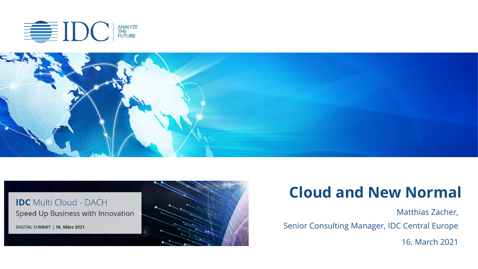





#### **Cloud and New Normal**

Matthias Zacher, Senior Consulting Manager, IDC Central Europe 16. March 2021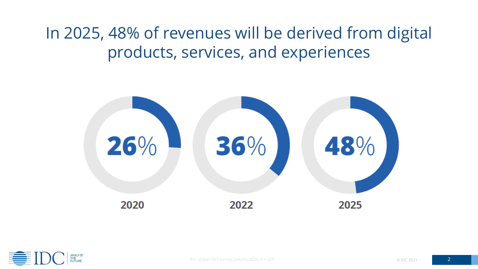In 2025, 48% of revenues will be derived from digital products, services, and experiences



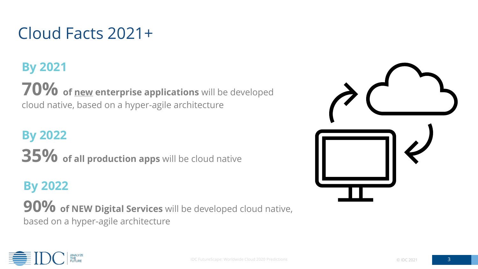## Cloud Facts 2021+

#### **By 2021**

**70% of new enterprise applications** will be developed cloud native, based on a hyper-agile architecture

#### **By 2022**

**35% of all production apps** will be cloud native

#### **By 2022**

**90% of NEW Digital Services** will be developed cloud native, based on a hyper-agile architecture



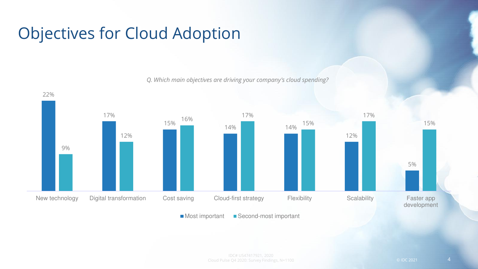## Objectives for Cloud Adoption

22%

*Q. Which main objectives are driving your company's cloud spending?*



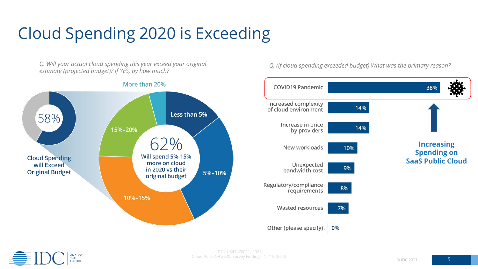# Cloud Spending 2020 is Exceeding

*Q. Will your actual cloud spending this year exceed your original Q. (If cloud spending exceeded budget) What was the primary reason? estimate (projected budget)? If YES, by how much?*





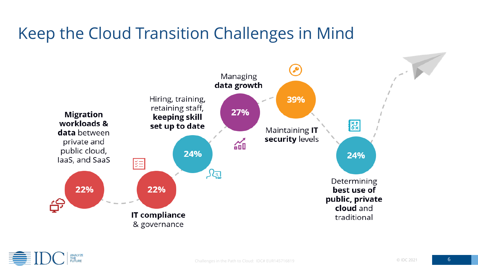# Keep the Cloud Transition Challenges in Mind



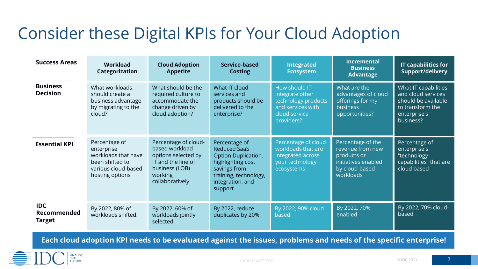## Consider these Digital KPIs for Your Cloud Adoption

| <b>Success Areas</b>                       | Workload<br>Categorization                                                                                      | <b>Cloud Adoption</b><br><b>Appetite</b>                                                                                            | Service-based<br><b>Costing</b>                                                                                                                          | <b>Integrated</b><br><b>Ecosystem</b>                                                                       | <b>Incremental</b><br><b>Business</b><br><b>Advantage</b>                                                  | <b>IT capabilities for</b><br>Support/delivery                                                                     |
|--------------------------------------------|-----------------------------------------------------------------------------------------------------------------|-------------------------------------------------------------------------------------------------------------------------------------|----------------------------------------------------------------------------------------------------------------------------------------------------------|-------------------------------------------------------------------------------------------------------------|------------------------------------------------------------------------------------------------------------|--------------------------------------------------------------------------------------------------------------------|
| <b>Business</b><br><b>Decision</b>         | What workloads<br>should create a<br>business advantage<br>by migrating to the<br>cloud?                        | What should be the<br>required culture to<br>accommodate the<br>change driven by<br>cloud adoption?                                 | What IT cloud<br>services and<br>products should be<br>delivered to the<br>enterprise?                                                                   | How should IT<br>integrate other<br>technology products<br>and services with<br>cloud service<br>providers? | What are the<br>advantages of cloud<br>offerings for my<br><b>business</b><br>opportunities?               | What IT capabilities<br>and cloud services<br>should be available<br>to transform the<br>enterprise's<br>business? |
| <b>Essential KPI</b>                       | Percentage of<br>enterprise<br>workloads that have<br>been shifted to<br>various cloud-based<br>hosting options | Percentage of cloud-<br>based workload<br>options selected by<br>IT and the line of<br>business (LOB)<br>working<br>collaboratively | Percentage of<br><b>Reduced SaaS</b><br>Option Duplication,<br>highlighting cost<br>savings from<br>training, technology,<br>integration, and<br>support | Percentage of cloud<br>workloads that are<br>integrated across<br>your technology<br>ecosystems             | Percentage of the<br>revenue from new<br>products or<br>initiatives enabled<br>by cloud-based<br>workloads | Percentage of<br>enterprise's<br>"technology<br>capabilities" that are<br>cloud based                              |
| <b>IDC</b><br>Recommended<br><b>Target</b> | By 2022, 80% of<br>workloads shifted.                                                                           | By 2022, 60% of<br>workloads jointly<br>selected.                                                                                   | By 2022, reduce<br>duplicates by 20%.                                                                                                                    | By 2022, 90% cloud<br>based.                                                                                | By 2022, 70%<br>enabled                                                                                    | By 2022, 70% cloud-<br>based                                                                                       |

**Each cloud adoption KPI needs to be evaluated against the issues, problems and needs of the specific enterprise!**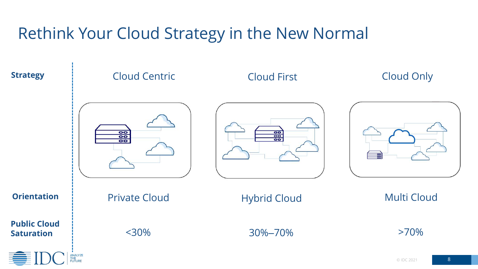# Rethink Your Cloud Strategy in the New Normal

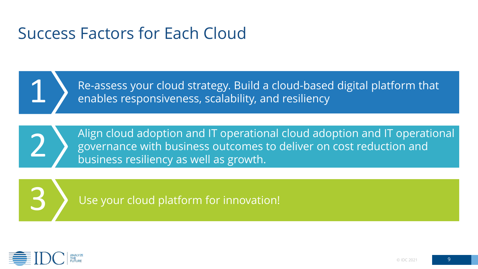#### Success Factors for Each Cloud



Re-assess your cloud strategy. Build a cloud-based digital platform that lenables responsiveness, scalability, and resiliency



Align cloud adoption and IT operational cloud adoption and IT operational governance with business outcomes to deliver on cost reduction and<br>business resiliency as well as growth.

3 Use your cloud platform for innovation!